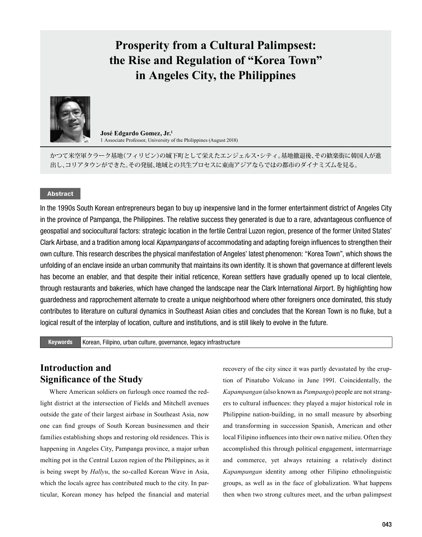# **Prosperity from a Cultural Palimpsest: the Rise and Regulation of "Korea Town" in Angeles City, the Philippines**



**José Edgardo Gomez, Jr.<sup>1</sup>** 1 Associate Professor, University of the Philippines (August 2018)

かつて米空軍クラーク基地(フィリピン)の城下町として栄えたエンジェルス・シティ。基地撤退後、その歓楽街に韓国人が進 出し、コリアタウンができた。その発展、地域との共生プロセスに東南アジアならではの都市のダイナミズムを見る。

### Abstract

In the 1990s South Korean entrepreneurs began to buy up inexpensive land in the former entertainment district of Angeles City in the province of Pampanga, the Philippines. The relative success they generated is due to a rare, advantageous confluence of geospatial and sociocultural factors: strategic location in the fertile Central Luzon region, presence of the former United States' Clark Airbase, and a tradition among local *Kapampangans* of accommodating and adapting foreign influences to strengthen their own culture. This research describes the physical manifestation of Angeles' latest phenomenon: "Korea Town", which shows the unfolding of an enclave inside an urban community that maintains its own identity. It is shown that governance at different levels has become an enabler, and that despite their initial reticence, Korean settlers have gradually opened up to local clientele, through restaurants and bakeries, which have changed the landscape near the Clark International Airport. By highlighting how guardedness and rapprochement alternate to create a unique neighborhood where other foreigners once dominated, this study contributes to literature on cultural dynamics in Southeast Asian cities and concludes that the Korean Town is no fluke, but a logical result of the interplay of location, culture and institutions, and is still likely to evolve in the future.

Keywords Korean, Filipino, urban culture, governance, legacy infrastructure

## **Introduction and Significance of the Study**

Where American soldiers on furlough once roamed the redlight district at the intersection of Fields and Mitchell avenues outside the gate of their largest airbase in Southeast Asia, now one can find groups of South Korean businessmen and their families establishing shops and restoring old residences. This is happening in Angeles City, Pampanga province, a major urban melting pot in the Central Luzon region of the Philippines, as it is being swept by *Hallyu*, the so-called Korean Wave in Asia, which the locals agree has contributed much to the city. In particular, Korean money has helped the financial and material

recovery of the city since it was partly devastated by the eruption of Pinatubo Volcano in June 1991. Coincidentally, the *Kapampangan* (also known as *Pampango*) people are not strangers to cultural influences: they played a major historical role in Philippine nation-building, in no small measure by absorbing and transforming in succession Spanish, American and other local Filipino influences into their own native milieu. Often they accomplished this through political engagement, intermarriage and commerce, yet always retaining a relatively distinct *Kapampangan* identity among other Filipino ethnolinguistic groups, as well as in the face of globalization. What happens then when two strong cultures meet, and the urban palimpsest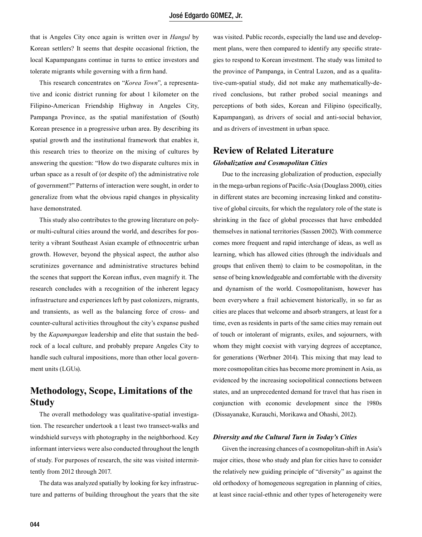that is Angeles City once again is written over in *Hangul* by Korean settlers? It seems that despite occasional friction, the local Kapampangans continue in turns to entice investors and tolerate migrants while governing with a firm hand.

This research concentrates on "*Korea Town*", a representative and iconic district running for about 1 kilometer on the Filipino-American Friendship Highway in Angeles City, Pampanga Province, as the spatial manifestation of (South) Korean presence in a progressive urban area. By describing its spatial growth and the institutional framework that enables it, this research tries to theorize on the mixing of cultures by answering the question: "How do two disparate cultures mix in urban space as a result of (or despite of) the administrative role of government?" Patterns of interaction were sought, in order to generalize from what the obvious rapid changes in physicality have demonstrated.

This study also contributes to the growing literature on polyor multi-cultural cities around the world, and describes for posterity a vibrant Southeast Asian example of ethnocentric urban growth. However, beyond the physical aspect, the author also scrutinizes governance and administrative structures behind the scenes that support the Korean influx, even magnify it. The research concludes with a recognition of the inherent legacy infrastructure and experiences left by past colonizers, migrants, and transients, as well as the balancing force of cross- and counter-cultural activities throughout the city's expanse pushed by the *Kapampangan* leadership and elite that sustain the bedrock of a local culture, and probably prepare Angeles City to handle such cultural impositions, more than other local government units (LGUs).

# **Methodology, Scope, Limitations of the Study**

The overall methodology was qualitative-spatial investigation. The researcher undertook a t least two transect-walks and windshield surveys with photography in the neighborhood. Key informant interviews were also conducted throughout the length of study. For purposes of research, the site was visited intermittently from 2012 through 2017.

The data was analyzed spatially by looking for key infrastructure and patterns of building throughout the years that the site

was visited. Public records, especially the land use and development plans, were then compared to identify any specific strategies to respond to Korean investment. The study was limited to the province of Pampanga, in Central Luzon, and as a qualitative-cum-spatial study, did not make any mathematically-derived conclusions, but rather probed social meanings and perceptions of both sides, Korean and Filipino (specifically, Kapampangan), as drivers of social and anti-social behavior, and as drivers of investment in urban space.

## **Review of Related Literature** *Globalization and Cosmopolitan Cities*

Due to the increasing globalization of production, especially in the mega-urban regions of Pacific-Asia (Douglass 2000), cities in different states are becoming increasing linked and constitutive of global circuits, for which the regulatory role of the state is shrinking in the face of global processes that have embedded themselves in national territories (Sassen 2002). With commerce comes more frequent and rapid interchange of ideas, as well as learning, which has allowed cities (through the individuals and groups that enliven them) to claim to be cosmopolitan, in the sense of being knowledgeable and comfortable with the diversity and dynamism of the world. Cosmopolitanism, however has been everywhere a frail achievement historically, in so far as cities are places that welcome and absorb strangers, at least for a time, even as residents in parts of the same cities may remain out of touch or intolerant of migrants, exiles, and sojourners, with whom they might coexist with varying degrees of acceptance, for generations (Werbner 2014). This mixing that may lead to more cosmopolitan cities has become more prominent in Asia, as evidenced by the increasing sociopolitical connections between states, and an unprecedented demand for travel that has risen in conjunction with economic development since the 1980s (Dissayanake, Kurauchi, Morikawa and Ohashi, 2012).

#### *Diversity and the Cultural Turn in Today's Cities*

Given the increasing chances of a cosmopolitan-shift in Asia's major cities, those who study and plan for cities have to consider the relatively new guiding principle of "diversity" as against the old orthodoxy of homogeneous segregation in planning of cities, at least since racial-ethnic and other types of heterogeneity were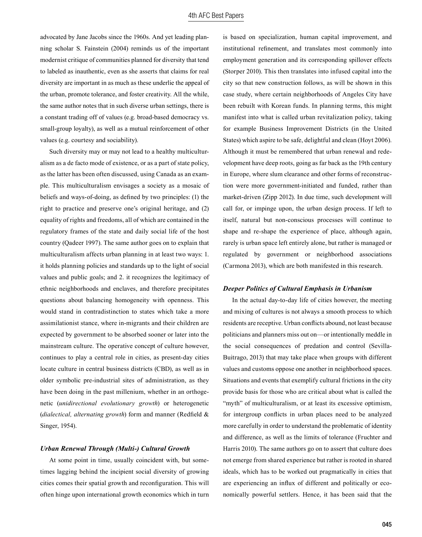advocated by Jane Jacobs since the 1960s. And yet leading planning scholar S. Fainstein (2004) reminds us of the important modernist critique of communities planned for diversity that tend to labeled as inauthentic, even as she asserts that claims for real diversity are important in as much as these underlie the appeal of the urban, promote tolerance, and foster creativity. All the while, the same author notes that in such diverse urban settings, there is a constant trading off of values (e.g. broad-based democracy vs. small-group loyalty), as well as a mutual reinforcement of other values (e.g. courtesy and sociability).

Such diversity may or may not lead to a healthy multiculturalism as a de facto mode of existence, or as a part of state policy, as the latter has been often discussed, using Canada as an example. This multiculturalism envisages a society as a mosaic of beliefs and ways-of-doing, as defined by two principles: (1) the right to practice and preserve one's original heritage, and (2) equality of rights and freedoms, all of which are contained in the regulatory frames of the state and daily social life of the host country (Qadeer 1997). The same author goes on to explain that multiculturalism affects urban planning in at least two ways: 1. it holds planning policies and standards up to the light of social values and public goals; and 2. it recognizes the legitimacy of ethnic neighborhoods and enclaves, and therefore precipitates questions about balancing homogeneity with openness. This would stand in contradistinction to states which take a more assimilationist stance, where in-migrants and their children are expected by government to be absorbed sooner or later into the mainstream culture. The operative concept of culture however, continues to play a central role in cities, as present-day cities locate culture in central business districts (CBD), as well as in older symbolic pre-industrial sites of administration, as they have been doing in the past millenium, whether in an orthogenetic (*unidirectional evolutionary growth*) or heterogenetic (*dialectical, alternating growth*) form and manner (Redfield & Singer, 1954).

#### *Urban Renewal Through (Multi-) Cultural Growth*

At some point in time, usually coincident with, but sometimes lagging behind the incipient social diversity of growing cities comes their spatial growth and reconfiguration. This will often hinge upon international growth economics which in turn is based on specialization, human capital improvement, and institutional refinement, and translates most commonly into employment generation and its corresponding spillover effects (Storper 2010). This then translates into infused capital into the city so that new construction follows, as will be shown in this case study, where certain neighborhoods of Angeles City have been rebuilt with Korean funds. In planning terms, this might manifest into what is called urban revitalization policy, taking for example Business Improvement Districts (in the United States) which aspire to be safe, delightful and clean (Hoyt 2006). Although it must be remembered that urban renewal and redevelopment have deep roots, going as far back as the 19th century in Europe, where slum clearance and other forms of reconstruction were more government-initiated and funded, rather than market-driven (Zipp 2012). In due time, such development will call for, or impinge upon, the urban design process. If left to itself, natural but non-conscious processes will continue to shape and re-shape the experience of place, although again, rarely is urban space left entirely alone, but rather is managed or regulated by government or neighborhood associations (Carmona 2013), which are both manifested in this research.

#### *Deeper Politics of Cultural Emphasis in Urbanism*

In the actual day-to-day life of cities however, the meeting and mixing of cultures is not always a smooth process to which residents are receptive. Urban conflicts abound, not least because politicians and planners miss out on—or intentionally meddle in the social consequences of predation and control (Sevilla-Buitrago, 2013) that may take place when groups with different values and customs oppose one another in neighborhood spaces. Situations and events that exemplify cultural frictions in the city provide basis for those who are critical about what is called the "myth" of multiculturalism, or at least its excessive optimism, for intergroup conflicts in urban places need to be analyzed more carefully in order to understand the problematic of identity and difference, as well as the limits of tolerance (Fruchter and Harris 2010). The same authors go on to assert that culture does not emerge from shared experience but rather is rooted in shared ideals, which has to be worked out pragmatically in cities that are experiencing an influx of different and politically or economically powerful settlers. Hence, it has been said that the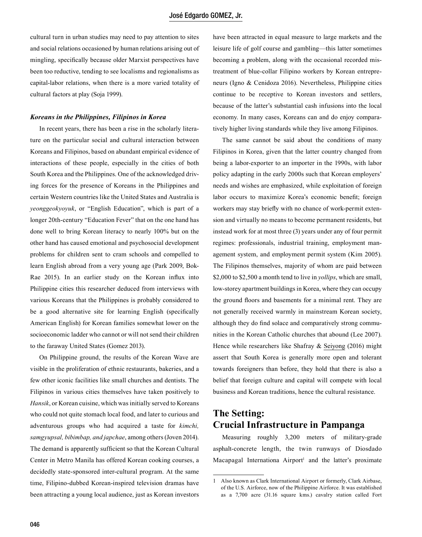cultural turn in urban studies may need to pay attention to sites and social relations occasioned by human relations arising out of mingling, specifically because older Marxist perspectives have been too reductive, tending to see localisms and regionalisms as capital-labor relations, when there is a more varied totality of cultural factors at play (Soja 1999).

#### *Koreans in the Philippines, Filipinos in Korea*

In recent years, there has been a rise in the scholarly literature on the particular social and cultural interaction between Koreans and Filipinos, based on abundant empirical evidence of interactions of these people, especially in the cities of both South Korea and the Philippines. One of the acknowledged driving forces for the presence of Koreans in the Philippines and certain Western countries like the United States and Australia is *yeonggeokyoyuk*, or "English Education", which is part of a longer 20th-century "Education Fever" that on the one hand has done well to bring Korean literacy to nearly 100% but on the other hand has caused emotional and psychosocial development problems for children sent to cram schools and compelled to learn English abroad from a very young age (Park 2009, Bok-Rae 2015). In an earlier study on the Korean influx into Philippine cities this researcher deduced from interviews with various Koreans that the Philippines is probably considered to be a good alternative site for learning English (specifically American English) for Korean families somewhat lower on the socioeconomic ladder who cannot or will not send their children to the faraway United States (Gomez 2013).

On Philippine ground, the results of the Korean Wave are visible in the proliferation of ethnic restaurants, bakeries, and a few other iconic facilities like small churches and dentists. The Filipinos in various cities themselves have taken positively to *Hansik*, or Korean cuisine, which was initially served to Koreans who could not quite stomach local food, and later to curious and adventurous groups who had acquired a taste for *kimchi, samgyupsal, bibimbap, and japchae*, among others (Joven 2014). The demand is apparently sufficient so that the Korean Cultural Center in Metro Manila has offered Korean cooking courses, a decidedly state-sponsored inter-cultural program. At the same time, Filipino-dubbed Korean-inspired television dramas have been attracting a young local audience, just as Korean investors have been attracted in equal measure to large markets and the leisure life of golf course and gambling—this latter sometimes becoming a problem, along with the occasional recorded mistreatment of blue-collar Filipino workers by Korean entrepreneurs (Igno & Cenidoza 2016). Nevertheless, Philippine cities continue to be receptive to Korean investors and settlers, because of the latter's substantial cash infusions into the local economy. In many cases, Koreans can and do enjoy comparatively higher living standards while they live among Filipinos.

The same cannot be said about the conditions of many Filipinos in Korea, given that the latter country changed from being a labor-exporter to an importer in the 1990s, with labor policy adapting in the early 2000s such that Korean employers' needs and wishes are emphasized, while exploitation of foreign labor occurs to maximize Korea's economic benefit; foreign workers may stay briefly with no chance of work-permit extension and virtually no means to become permanent residents, but instead work for at most three (3) years under any of four permit regimes: professionals, industrial training, employment management system, and employment permit system (Kim 2005). The Filipinos themselves, majority of whom are paid between \$2,000 to \$2,500 a month tend to live in *yollips*, which are small, low-storey apartment buildings in Korea, where they can occupy the ground floors and basements for a minimal rent. They are not generally received warmly in mainstream Korean society, although they do find solace and comparatively strong communities in the Korean Catholic churches that abound (Lee 2007). Hence while researchers like Shafray & Seiyong (2016) might assert that South Korea is generally more open and tolerant towards foreigners than before, they hold that there is also a belief that foreign culture and capital will compete with local business and Korean traditions, hence the cultural resistance.

### **The Setting: Crucial Infrastructure in Pampanga**

Measuring roughly 3,200 meters of military-grade asphalt-concrete length, the twin runways of Diosdado Macapagal Internationa  $Airport<sup>1</sup>$  and the latter's proximate

<sup>1</sup> Also known as Clark International Airport or formerly, Clark Airbase, of the U.S. Airforce, now of the Philippine Airforce. It was established as a 7,700 acre (31.16 square kms.) cavalry station called Fort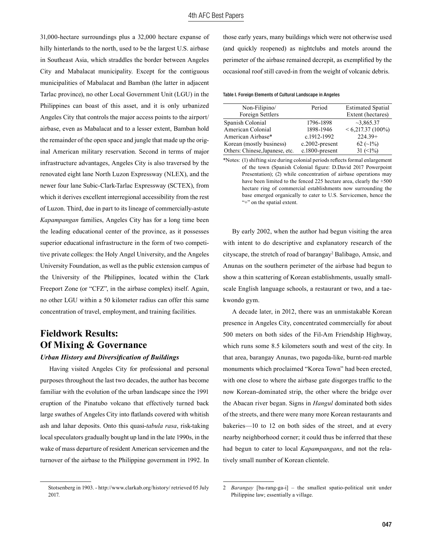31,000-hectare surroundings plus a 32,000 hectare expanse of hilly hinterlands to the north, used to be the largest U.S. airbase in Southeast Asia, which straddles the border between Angeles City and Mabalacat municipality. Except for the contiguous municipalities of Mabalacat and Bamban (the latter in adjacent Tarlac province), no other Local Government Unit (LGU) in the Philippines can boast of this asset, and it is only urbanized Angeles City that controls the major access points to the airport/ airbase, even as Mabalacat and to a lesser extent, Bamban hold the remainder of the open space and jungle that made up the original American military reservation. Second in terms of major infrastructure advantages, Angeles City is also traversed by the renovated eight lane North Luzon Expressway (NLEX), and the newer four lane Subic-Clark-Tarlac Expressway (SCTEX), from which it derives excellent interregional accessibility from the rest of Luzon. Third, due in part to its lineage of commercially-astute *Kapampangan* families, Angeles City has for a long time been the leading educational center of the province, as it possesses superior educational infrastructure in the form of two competitive private colleges: the Holy Angel University, and the Angeles University Foundation, as well as the public extension campus of the University of the Philippines, located within the Clark Freeport Zone (or "CFZ", in the airbase complex) itself. Again, no other LGU within a 50 kilometer radius can offer this same concentration of travel, employment, and training facilities.

# **Fieldwork Results: Of Mixing & Governance**

*Urban History and Diversification of Buildings*

Having visited Angeles City for professional and personal purposes throughout the last two decades, the author has become familiar with the evolution of the urban landscape since the 1991 eruption of the Pinatubo volcano that effectively turned back large swathes of Angeles City into flatlands covered with whitish ash and lahar deposits. Onto this quasi-*tabula rasa*, risk-taking local speculators gradually bought up land in the late 1990s, in the wake of mass departure of resident American servicemen and the turnover of the airbase to the Philippine government in 1992. In those early years, many buildings which were not otherwise used (and quickly reopened) as nightclubs and motels around the perimeter of the airbase remained decrepit, as exemplified by the occasional roof still caved-in from the weight of volcanic debris.

Table I. Foreign Elements of Cultural Landscape in Angeles

| Non-Filipino/                   | Period            | <b>Estimated Spatial</b> |
|---------------------------------|-------------------|--------------------------|
| Foreign Settlers                |                   | Extent (hectares)        |
| Spanish Colonial                | 1796-1898         | $\sim$ 3,865.37          |
| American Colonial               | 1898-1946         | $< 6,217.37(100\%)$      |
| American Airbase*               | c.1912-1992       | $224.39+$                |
| Korean (mostly business)        | $c.2002$ -present | 62 $(-1%)$               |
| Others: Chinese, Japanese, etc. | c.1800-present    | 31 $(\leq 1\%)$          |

\*Notes: (1) shifting size during colonial periods reflects formal enlargement of the town (Spanish Colonial figure: D.David 2017 Powerpoint Presentation); (2) while concentration of airbase operations may have been limited to the fenced 225 hectare area, clearly the  $+500$ hectare ring of commercial establishments now surrounding the base emerged organically to cater to U.S. Servicemen, hence the "+" on the spatial extent.

By early 2002, when the author had begun visiting the area with intent to do descriptive and explanatory research of the cityscape, the stretch of road of barangay<sup>2</sup> Balibago, Amsic, and Anunas on the southern perimeter of the airbase had begun to show a thin scattering of Korean establishments, usually smallscale English language schools, a restaurant or two, and a taekwondo gym.

A decade later, in 2012, there was an unmistakable Korean presence in Angeles City, concentrated commercially for about 500 meters on both sides of the Fil-Am Friendship Highway, which runs some 8.5 kilometers south and west of the city. In that area, barangay Anunas, two pagoda-like, burnt-red marble monuments which proclaimed "Korea Town" had been erected, with one close to where the airbase gate disgorges traffic to the now Korean-dominated strip, the other where the bridge over the Abacan river began. Signs in *Hangul* dominated both sides of the streets, and there were many more Korean restaurants and bakeries—10 to 12 on both sides of the street, and at every nearby neighborhood corner; it could thus be inferred that these had begun to cater to local *Kapampangans*, and not the relatively small number of Korean clientele.

Stotsenberg in 1903. - http://www.clarkab.org/history/ retrieved 05 July 2017.

<sup>2</sup> *Barangay* [ba-rang-ga-i] – the smallest spatio-political unit under Philippine law; essentially a village.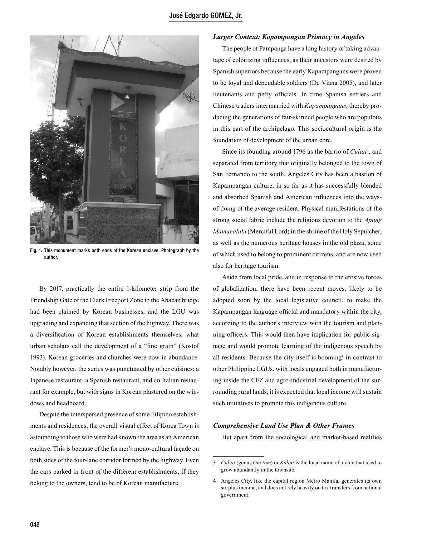

Fig. 1. This monument marks both ends of the Korean enclave. Photograph by the author.

By 2017, practically the entire 1-kilometer strip from the Friendship Gate of the Clark Freeport Zone to the Abacan bridge had been claimed by Korean businesses, and the LGU was upgrading and expanding that section of the highway. There was a diversification of Korean establishments themselves, what urban scholars call the development of a "fine grain" (Kostof 1993). Korean groceries and churches were now in abundance. Notably however, the series was punctuated by other cuisines: a Japanese restaurant, a Spanish restaurant, and an Italian restaurant for example, but with signs in Korean plastered on the windows and headboard.

Despite the interspersed presence of some Filipino establishments and residences, the overall visual effect of Korea Town is astounding to those who were had known the area as an American enclave. This is because of the former's mono-cultural façade on both sides of the four-lane corridor formed by the highway. Even the cars parked in front of the different establishments, if they belong to the owners, tend to be of Korean manufacture.

### *Larger Context: Kapampangan Primacy in Angeles*

The people of Pampanga have a long history of taking advantage of colonizing influences, as their ancestors were desired by Spanish superiors because the early Kapampangans were proven to be loyal and dependable soldiers (De Viana 2005), and later lieutenants and petty officials. In time Spanish settlers and Chinese traders intermarried with *Kapampangans*, thereby producing the generations of fair-skinned people who are populous in this part of the archipelago. This sociocultural origin is the foundation of development of the urban core.

Since its founding around 1796 as the barrio of *Culiat*<sup>3</sup>, and separated from territory that originally belonged to the town of San Fernando to the south, Angeles City has been a bastion of Kapampangan culture, in so far as it has successfully blended and absorbed Spanish and American influences into the waysof-doing of the average resident. Physical manifestations of the strong social fabric include the religious devotion to the *Apung Mamacalulu* (Merciful Lord) in the shrine of the Holy Sepulcher, as well as the numerous heritage houses in the old plaza, some of which used to belong to prominent citizens, and are now used also for heritage tourism.

Aside from local pride, and in response to the erosive forces of globalization, there have been recent moves, likely to be adopted soon by the local legislative council, to make the Kapampangan language official and mandatory within the city, according to the author's interview with the tourism and planning officers. This would then have implication for public signage and would promote learning of the indigenous speech by all residents. Because the city itself is booming<sup>4</sup> in contrast to other Philippine LGUs, with locals engaged both in manufacturing inside the CFZ and agro-industrial development of the surrounding rural lands, it is expected that local income will sustain such initiatives to promote this indigenous culture.

#### *Comprehensive Land Use Plan & Other Frames*

But apart from the sociological and market-based realities

<sup>3</sup> *Culiat* (genus *Gnetum*) or *Kuliat* is the local name of a vine that used to grow abundantly in the townsite.

<sup>4</sup> Angeles City, like the capital region Metro Manila, generates its own surplus income, and does not rely heavily on tax transfers from national government.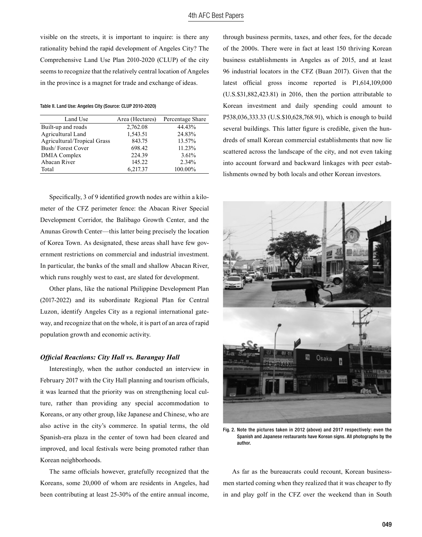visible on the streets, it is important to inquire: is there any rationality behind the rapid development of Angeles City? The Comprehensive Land Use Plan 2010-2020 (CLUP) of the city seems to recognize that the relatively central location of Angeles in the province is a magnet for trade and exchange of ideas.

Table II. Land Use: Angeles City (Source: CLUP 2010-2020)

| Land Use                           | Area (Hectares) | Percentage Share |
|------------------------------------|-----------------|------------------|
| Built-up and roads                 | 2,762.08        | 44.43%           |
| Agricultural Land                  | 1,543.51        | 24.83%           |
| <b>Agricultural/Tropical Grass</b> | 843.75          | 13.57%           |
| Bush/Forest Cover                  | 698.42          | 11.23%           |
| DMIA Complex                       | 224.39          | 3.61%            |
| Abacan River                       | 145.22          | 2.34%            |
| Total                              | 6,217.37        | 100.00%          |

Specifically, 3 of 9 identified growth nodes are within a kilometer of the CFZ perimeter fence: the Abacan River Special Development Corridor, the Balibago Growth Center, and the Anunas Growth Center—this latter being precisely the location of Korea Town. As designated, these areas shall have few government restrictions on commercial and industrial investment. In particular, the banks of the small and shallow Abacan River, which runs roughly west to east, are slated for development.

Other plans, like the national Philippine Development Plan (2017-2022) and its subordinate Regional Plan for Central Luzon, identify Angeles City as a regional international gateway, and recognize that on the whole, it is part of an area of rapid population growth and economic activity.

#### *Official Reactions: City Hall vs. Barangay Hall*

Interestingly, when the author conducted an interview in February 2017 with the City Hall planning and tourism officials, it was learned that the priority was on strengthening local culture, rather than providing any special accommodation to Koreans, or any other group, like Japanese and Chinese, who are also active in the city's commerce. In spatial terms, the old Spanish-era plaza in the center of town had been cleared and improved, and local festivals were being promoted rather than Korean neighborhoods.

The same officials however, gratefully recognized that the Koreans, some 20,000 of whom are residents in Angeles, had been contributing at least 25-30% of the entire annual income, through business permits, taxes, and other fees, for the decade of the 2000s. There were in fact at least 150 thriving Korean business establishments in Angeles as of 2015, and at least 96 industrial locators in the CFZ (Buan 2017). Given that the latest official gross income reported is P1,614,109,000 (U.S.\$31,882,423.81) in 2016, then the portion attributable to Korean investment and daily spending could amount to P538,036,333.33 (U.S.\$10,628,768.91), which is enough to build several buildings. This latter figure is credible, given the hundreds of small Korean commercial establishments that now lie scattered across the landscape of the city, and not even taking into account forward and backward linkages with peer establishments owned by both locals and other Korean investors.



Fig. 2. Note the pictures taken in 2012 (above) and 2017 respectively: even the Spanish and Japanese restaurants have Korean signs. All photographs by the author.

As far as the bureaucrats could recount, Korean businessmen started coming when they realized that it was cheaper to fly in and play golf in the CFZ over the weekend than in South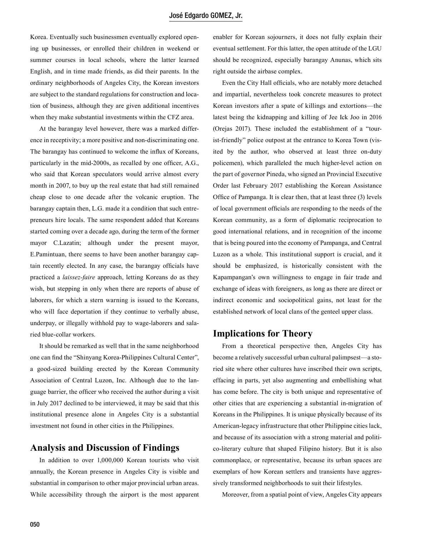Korea. Eventually such businessmen eventually explored opening up businesses, or enrolled their children in weekend or summer courses in local schools, where the latter learned English, and in time made friends, as did their parents. In the ordinary neighborhoods of Angeles City, the Korean investors are subject to the standard regulations for construction and location of business, although they are given additional incentives when they make substantial investments within the CFZ area.

At the barangay level however, there was a marked difference in receptivity; a more positive and non-discriminating one. The barangay has continued to welcome the influx of Koreans, particularly in the mid-2000s, as recalled by one officer, A.G., who said that Korean speculators would arrive almost every month in 2007, to buy up the real estate that had still remained cheap close to one decade after the volcanic eruption. The barangay captain then, L.G. made it a condition that such entrepreneurs hire locals. The same respondent added that Koreans started coming over a decade ago, during the term of the former mayor C.Lazatin; although under the present mayor, E.Pamintuan, there seems to have been another barangay captain recently elected. In any case, the barangay officials have practiced a *laissez-faire* approach, letting Koreans do as they wish, but stepping in only when there are reports of abuse of laborers, for which a stern warning is issued to the Koreans, who will face deportation if they continue to verbally abuse, underpay, or illegally withhold pay to wage-laborers and salaried blue-collar workers.

It should be remarked as well that in the same neighborhood one can find the "Shinyang Korea-Philippines Cultural Center", a good-sized building erected by the Korean Community Association of Central Luzon, Inc. Although due to the language barrier, the officer who received the author during a visit in July 2017 declined to be interviewed, it may be said that this institutional presence alone in Angeles City is a substantial investment not found in other cities in the Philippines.

### **Analysis and Discussion of Findings**

In addition to over 1,000,000 Korean tourists who visit annually, the Korean presence in Angeles City is visible and substantial in comparison to other major provincial urban areas. While accessibility through the airport is the most apparent enabler for Korean sojourners, it does not fully explain their eventual settlement. For this latter, the open attitude of the LGU should be recognized, especially barangay Anunas, which sits right outside the airbase complex.

Even the City Hall officials, who are notably more detached and impartial, nevertheless took concrete measures to protect Korean investors after a spate of killings and extortions—the latest being the kidnapping and killing of Jee Ick Joo in 2016 (Orejas 2017). These included the establishment of a "tourist-friendly" police outpost at the entrance to Korea Town (visited by the author, who observed at least three on-duty policemen), which paralleled the much higher-level action on the part of governor Pineda, who signed an Provincial Executive Order last February 2017 establishing the Korean Assistance Office of Pampanga. It is clear then, that at least three (3) levels of local government officials are responding to the needs of the Korean community, as a form of diplomatic reciprocation to good international relations, and in recognition of the income that is being poured into the economy of Pampanga, and Central Luzon as a whole. This institutional support is crucial, and it should be emphasized, is historically consistent with the Kapampangan's own willingness to engage in fair trade and exchange of ideas with foreigners, as long as there are direct or indirect economic and sociopolitical gains, not least for the established network of local clans of the genteel upper class.

### **Implications for Theory**

From a theoretical perspective then, Angeles City has become a relatively successful urban cultural palimpsest—a storied site where other cultures have inscribed their own scripts, effacing in parts, yet also augmenting and embellishing what has come before. The city is both unique and representative of other cities that are experiencing a substantial in-migration of Koreans in the Philippines. It is unique physically because of its American-legacy infrastructure that other Philippine cities lack, and because of its association with a strong material and politico-literary culture that shaped Filipino history. But it is also commonplace, or representative, because its urban spaces are exemplars of how Korean settlers and transients have aggressively transformed neighborhoods to suit their lifestyles.

Moreover, from a spatial point of view, Angeles City appears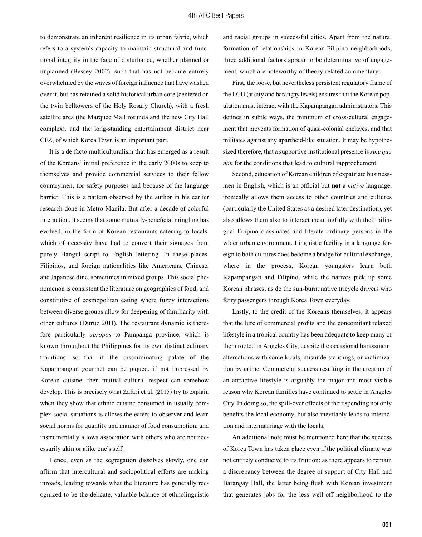to demonstrate an inherent resilience in its urban fabric, which refers to a system's capacity to maintain structural and functional integrity in the face of disturbance, whether planned or unplanned (Bessey 2002), such that has not become entirely overwhelmed by the waves of foreign influence that have washed over it, but has retained a solid historical urban core (centered on the twin belltowers of the Holy Rosary Church), with a fresh satellite area (the Marquee Mall rotunda and the new City Hall complex), and the long-standing entertainment district near CFZ, of which Korea Town is an important part.

It is a de facto multiculturalism that has emerged as a result of the Koreans' initial preference in the early 2000s to keep to themselves and provide commercial services to their fellow countrymen, for safety purposes and because of the language barrier. This is a pattern observed by the author in his earlier research done in Metro Manila. But after a decade of colorful interaction, it seems that some mutually-beneficial mingling has evolved, in the form of Korean restaurants catering to locals, which of necessity have had to convert their signages from purely Hangul script to English lettering. In these places, Filipinos, and foreign nationalities like Americans, Chinese, and Japanese dine, sometimes in mixed groups. This social phenomenon is consistent the literature on geographies of food, and constitutive of cosmopolitan eating where fuzzy interactions between diverse groups allow for deepening of familiarity with other cultures (Duruz 2011). The restaurant dynamic is therefore particularly *apropos* to Pampanga province, which is known throughout the Philippines for its own distinct culinary traditions—so that if the discriminating palate of the Kapampangan gourmet can be piqued, if not impressed by Korean cuisine, then mutual cultural respect can somehow develop. This is precisely what Zafari et al. (2015) try to explain when they show that ethnic cuisine consumed in usually complex social situations is allows the eaters to observer and learn social norms for quantity and manner of food consumption, and instrumentally allows association with others who are not necessarily akin or alike one's self.

Hence, even as the segregation dissolves slowly, one can affirm that intercultural and sociopolitical efforts are making inroads, leading towards what the literature has generally recognized to be the delicate, valuable balance of ethnolinguistic and racial groups in successful cities. Apart from the natural formation of relationships in Korean-Filipino neighborhoods, three additional factors appear to be determinative of engagement, which are noteworthy of theory-related commentary:

First, the loose, but nevertheless persistent regulatory frame of the LGU (at city and barangay levels) ensures that the Korean population must interact with the Kapampangan administrators. This defines in subtle ways, the minimum of cross-cultural engagement that prevents formation of quasi-colonial enclaves, and that militates against any apartheid-like situation. It may be hypothesized therefore, that a supportive institutional presence is *sine qua non* for the conditions that lead to cultural rapprochement.

Second, education of Korean children of expatriate businessmen in English, which is an official but **not** a *native* language, ironically allows them access to other countries and cultures (particularly the United States as a desired later destination), yet also allows them also to interact meaningfully with their bilingual Filipino classmates and literate ordinary persons in the wider urban environment. Linguistic facility in a language foreign to both cultures does become a bridge for cultural exchange, where in the process, Korean youngsters learn both Kapampangan and Filipino, while the natives pick up some Korean phrases, as do the sun-burnt native tricycle drivers who ferry passengers through Korea Town everyday.

Lastly, to the credit of the Koreans themselves, it appears that the lure of commercial profits and the concomitant relaxed lifestyle in a tropical country has been adequate to keep many of them rooted in Angeles City, despite the occasional harassment, altercations with some locals, misunderstandings, or victimization by crime. Commercial success resulting in the creation of an attractive lifestyle is arguably the major and most visible reason why Korean families have continued to settle in Angeles City. In doing so, the spill-over effects of their spending not only benefits the local economy, but also inevitably leads to interaction and intermarriage with the locals.

An additional note must be mentioned here that the success of Korea Town has taken place even if the political climate was not entirely conducive to its fruition; as there appears to remain a discrepancy between the degree of support of City Hall and Barangay Hall, the latter being flush with Korean investment that generates jobs for the less well-off neighborhood to the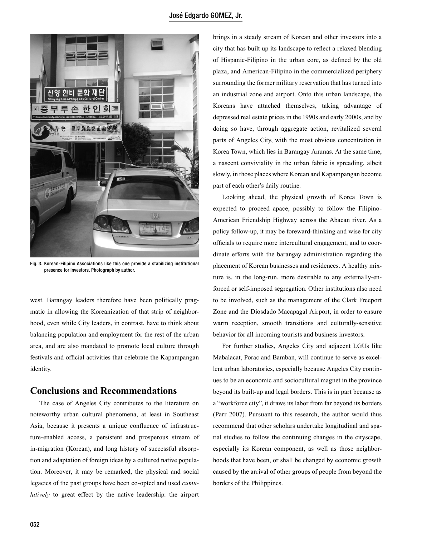

Fig. 3. Korean-Filipino Associations like this one provide a stabilizing institutional presence for investors. Photograph by author.

west. Barangay leaders therefore have been politically pragmatic in allowing the Koreanization of that strip of neighborhood, even while City leaders, in contrast, have to think about balancing population and employment for the rest of the urban area, and are also mandated to promote local culture through festivals and official activities that celebrate the Kapampangan identity.

### **Conclusions and Recommendations**

The case of Angeles City contributes to the literature on noteworthy urban cultural phenomena, at least in Southeast Asia, because it presents a unique confluence of infrastructure-enabled access, a persistent and prosperous stream of in-migration (Korean), and long history of successful absorption and adaptation of foreign ideas by a cultured native population. Moreover, it may be remarked, the physical and social legacies of the past groups have been co-opted and used *cumulatively* to great effect by the native leadership: the airport brings in a steady stream of Korean and other investors into a city that has built up its landscape to reflect a relaxed blending of Hispanic-Filipino in the urban core, as defined by the old plaza, and American-Filipino in the commercialized periphery surrounding the former military reservation that has turned into an industrial zone and airport. Onto this urban landscape, the Koreans have attached themselves, taking advantage of depressed real estate prices in the 1990s and early 2000s, and by doing so have, through aggregate action, revitalized several parts of Angeles City, with the most obvious concentration in Korea Town, which lies in Barangay Anunas. At the same time, a nascent conviviality in the urban fabric is spreading, albeit slowly, in those places where Korean and Kapampangan become part of each other's daily routine.

Looking ahead, the physical growth of Korea Town is expected to proceed apace, possibly to follow the Filipino-American Friendship Highway across the Abacan river. As a policy follow-up, it may be foreward-thinking and wise for city officials to require more intercultural engagement, and to coordinate efforts with the barangay administration regarding the placement of Korean businesses and residences. A healthy mixture is, in the long-run, more desirable to any externally-enforced or self-imposed segregation. Other institutions also need to be involved, such as the management of the Clark Freeport Zone and the Diosdado Macapagal Airport, in order to ensure warm reception, smooth transitions and culturally-sensitive behavior for all incoming tourists and business investors.

For further studies, Angeles City and adjacent LGUs like Mabalacat, Porac and Bamban, will continue to serve as excellent urban laboratories, especially because Angeles City continues to be an economic and sociocultural magnet in the province beyond its built-up and legal borders. This is in part because as a "workforce city", it draws its labor from far beyond its borders (Parr 2007). Pursuant to this research, the author would thus recommend that other scholars undertake longitudinal and spatial studies to follow the continuing changes in the cityscape, especially its Korean component, as well as those neighborhoods that have been, or shall be changed by economic growth caused by the arrival of other groups of people from beyond the borders of the Philippines.